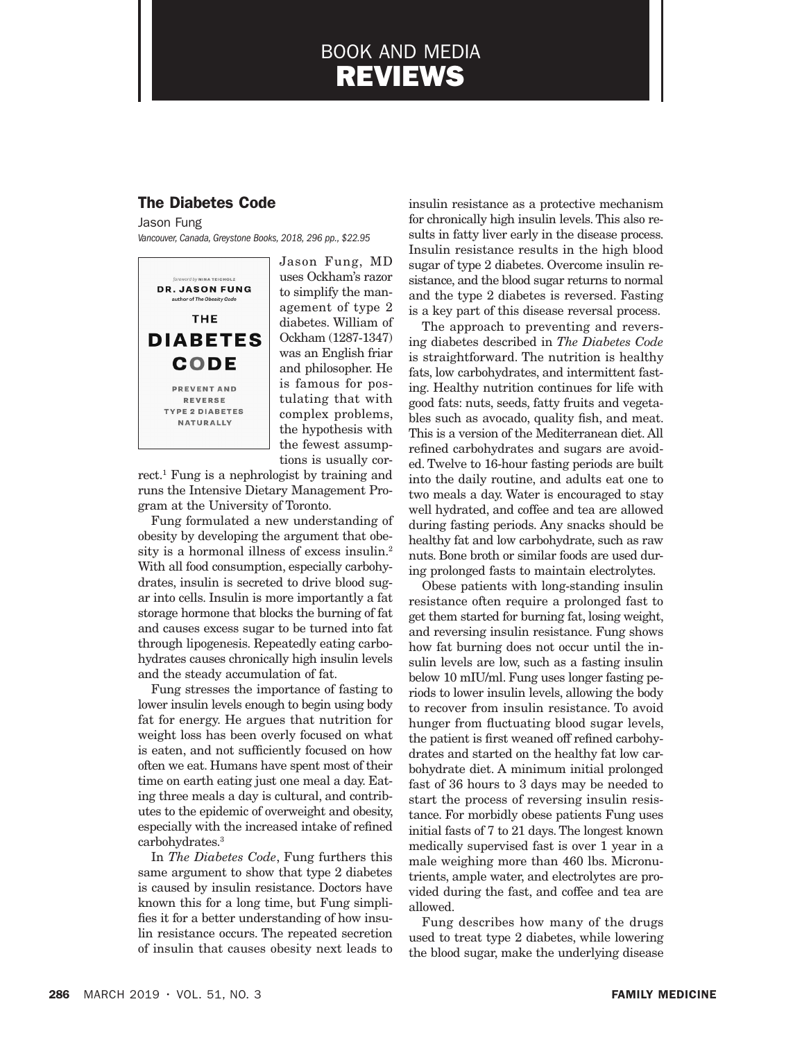# BOOK AND MEDIA REVIEWS

## The Diabetes Code

Jason Fung *Vancouver, Canada, Greystone Books, 2018, 296 pp., \$22.95*



Jason Fung, MD uses Ockham's razor to simplify the management of type 2 diabetes. William of Ockham (1287-1347) was an English friar and philosopher. He is famous for postulating that with complex problems, the hypothesis with the fewest assumptions is usually cor-

rect.1 Fung is a nephrologist by training and runs the Intensive Dietary Management Program at the University of Toronto.

Fung formulated a new understanding of obesity by developing the argument that obesity is a hormonal illness of excess insulin.2 With all food consumption, especially carbohydrates, insulin is secreted to drive blood sugar into cells. Insulin is more importantly a fat storage hormone that blocks the burning of fat and causes excess sugar to be turned into fat through lipogenesis. Repeatedly eating carbohydrates causes chronically high insulin levels and the steady accumulation of fat.

Fung stresses the importance of fasting to lower insulin levels enough to begin using body fat for energy. He argues that nutrition for weight loss has been overly focused on what is eaten, and not sufficiently focused on how often we eat. Humans have spent most of their time on earth eating just one meal a day. Eating three meals a day is cultural, and contributes to the epidemic of overweight and obesity, especially with the increased intake of refined carbohydrates.3

In *The Diabetes Code*, Fung furthers this same argument to show that type 2 diabetes is caused by insulin resistance. Doctors have known this for a long time, but Fung simplifies it for a better understanding of how insulin resistance occurs. The repeated secretion of insulin that causes obesity next leads to

insulin resistance as a protective mechanism for chronically high insulin levels. This also results in fatty liver early in the disease process. Insulin resistance results in the high blood sugar of type 2 diabetes. Overcome insulin resistance, and the blood sugar returns to normal and the type 2 diabetes is reversed. Fasting is a key part of this disease reversal process.

The approach to preventing and reversing diabetes described in *The Diabetes Code* is straightforward. The nutrition is healthy fats, low carbohydrates, and intermittent fasting. Healthy nutrition continues for life with good fats: nuts, seeds, fatty fruits and vegetables such as avocado, quality fish, and meat. This is a version of the Mediterranean diet. All refined carbohydrates and sugars are avoided. Twelve to 16-hour fasting periods are built into the daily routine, and adults eat one to two meals a day. Water is encouraged to stay well hydrated, and coffee and tea are allowed during fasting periods. Any snacks should be healthy fat and low carbohydrate, such as raw nuts. Bone broth or similar foods are used during prolonged fasts to maintain electrolytes.

Obese patients with long-standing insulin resistance often require a prolonged fast to get them started for burning fat, losing weight, and reversing insulin resistance. Fung shows how fat burning does not occur until the insulin levels are low, such as a fasting insulin below 10 mIU/ml. Fung uses longer fasting periods to lower insulin levels, allowing the body to recover from insulin resistance. To avoid hunger from fluctuating blood sugar levels, the patient is first weaned off refined carbohydrates and started on the healthy fat low carbohydrate diet. A minimum initial prolonged fast of 36 hours to 3 days may be needed to start the process of reversing insulin resistance. For morbidly obese patients Fung uses initial fasts of 7 to 21 days. The longest known medically supervised fast is over 1 year in a male weighing more than 460 lbs. Micronutrients, ample water, and electrolytes are provided during the fast, and coffee and tea are allowed.

Fung describes how many of the drugs used to treat type 2 diabetes, while lowering the blood sugar, make the underlying disease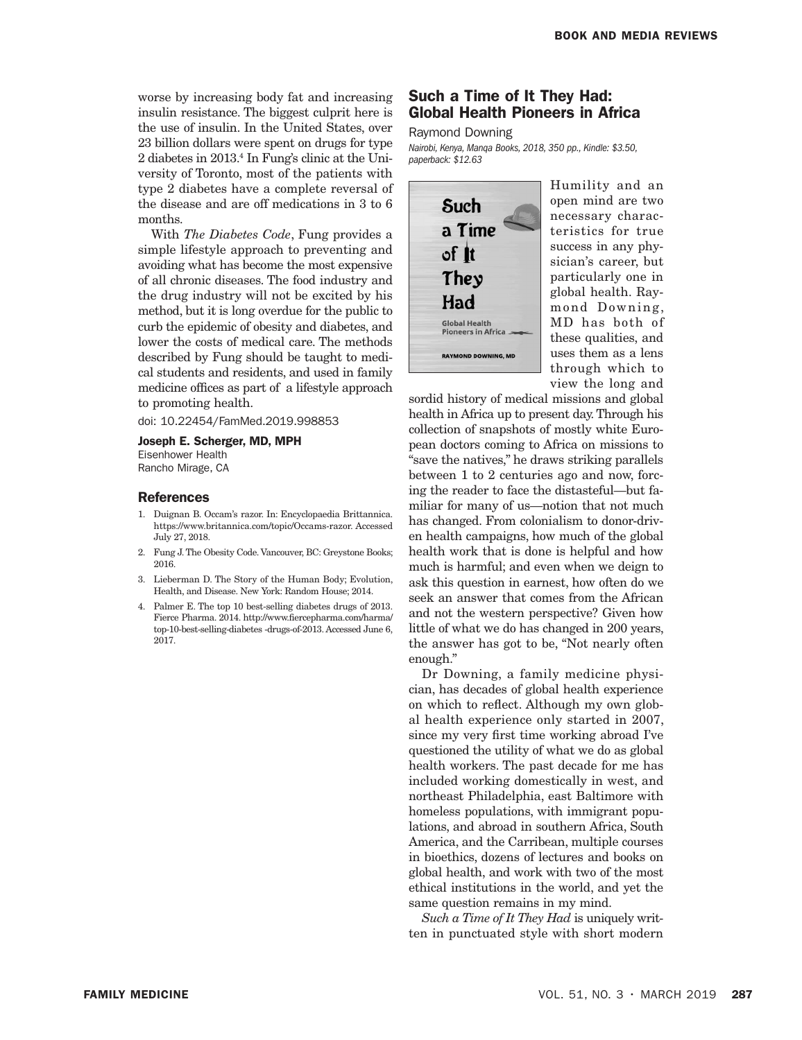worse by increasing body fat and increasing insulin resistance. The biggest culprit here is the use of insulin. In the United States, over 23 billion dollars were spent on drugs for type 2 diabetes in 2013.<sup>4</sup> In Fung's clinic at the University of Toronto, most of the patients with type 2 diabetes have a complete reversal of the disease and are off medications in 3 to 6 months.

With *The Diabetes Code*, Fung provides a simple lifestyle approach to preventing and avoiding what has become the most expensive of all chronic diseases. The food industry and the drug industry will not be excited by his method, but it is long overdue for the public to curb the epidemic of obesity and diabetes, and lower the costs of medical care. The methods described by Fung should be taught to medical students and residents, and used in family medicine offices as part of a lifestyle approach to promoting health.

doi: 10.22454/FamMed.2019.998853

### Joseph E. Scherger, MD, MPH

Eisenhower Health Rancho Mirage, CA

## References

- 1. Duignan B. Occam's razor. In: Encyclopaedia Brittannica. https://www.britannica.com/topic/Occams-razor. Accessed July 27, 2018.
- 2. Fung J. The Obesity Code. Vancouver, BC: Greystone Books; 2016.
- 3. Lieberman D. The Story of the Human Body; Evolution, Health, and Disease. New York: Random House; 2014.
- 4. Palmer E. The top 10 best-selling diabetes drugs of 2013. Fierce Pharma. 2014. http://www.fiercepharma.com/harma/ top-10-best-selling-diabetes -drugs-of-2013. Accessed June 6, 2017.

## Such a Time of It They Had: Global Health Pioneers in Africa

Raymond Downing

*Nairobi, Kenya, Manqa Books, 2018, 350 pp., Kindle: \$3.50, paperback: \$12.63*



Humility and an open mind are two necessary characteristics for true success in any physician's career, but particularly one in global health. Raymond Downing, MD has both of these qualities, and uses them as a lens through which to view the long and

sordid history of medical missions and global health in Africa up to present day. Through his collection of snapshots of mostly white European doctors coming to Africa on missions to "save the natives," he draws striking parallels between 1 to 2 centuries ago and now, forcing the reader to face the distasteful—but familiar for many of us—notion that not much has changed. From colonialism to donor-driven health campaigns, how much of the global health work that is done is helpful and how much is harmful; and even when we deign to ask this question in earnest, how often do we seek an answer that comes from the African and not the western perspective? Given how little of what we do has changed in 200 years, the answer has got to be, "Not nearly often enough."

Dr Downing, a family medicine physician, has decades of global health experience on which to reflect. Although my own global health experience only started in 2007, since my very first time working abroad I've questioned the utility of what we do as global health workers. The past decade for me has included working domestically in west, and northeast Philadelphia, east Baltimore with homeless populations, with immigrant populations, and abroad in southern Africa, South America, and the Carribean, multiple courses in bioethics, dozens of lectures and books on global health, and work with two of the most ethical institutions in the world, and yet the same question remains in my mind.

*Such a Time of It They Had* is uniquely written in punctuated style with short modern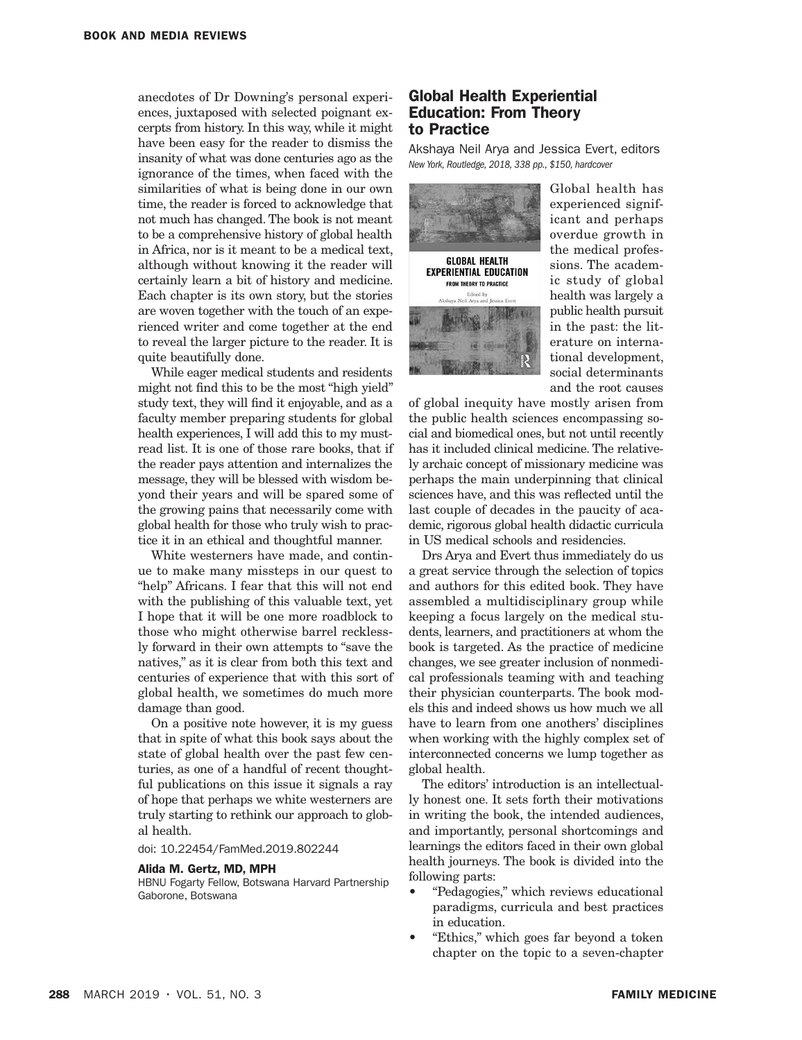anecdotes of Dr Downing's personal experiences, juxtaposed with selected poignant excerpts from history. In this way, while it might have been easy for the reader to dismiss the insanity of what was done centuries ago as the ignorance of the times, when faced with the similarities of what is being done in our own time, the reader is forced to acknowledge that not much has changed. The book is not meant to be a comprehensive history of global health in Africa, nor is it meant to be a medical text, although without knowing it the reader will certainly learn a bit of history and medicine. Each chapter is its own story, but the stories are woven together with the touch of an experienced writer and come together at the end to reveal the larger picture to the reader. It is quite beautifully done.

While eager medical students and residents might not find this to be the most "high yield" study text, they will find it enjoyable, and as a faculty member preparing students for global health experiences, I will add this to my mustread list. It is one of those rare books, that if the reader pays attention and internalizes the message, they will be blessed with wisdom beyond their years and will be spared some of the growing pains that necessarily come with global health for those who truly wish to practice it in an ethical and thoughtful manner.

White westerners have made, and continue to make many missteps in our quest to "help" Africans. I fear that this will not end with the publishing of this valuable text, yet I hope that it will be one more roadblock to those who might otherwise barrel recklessly forward in their own attempts to "save the natives," as it is clear from both this text and centuries of experience that with this sort of global health, we sometimes do much more damage than good.

On a positive note however, it is my guess that in spite of what this book says about the state of global health over the past few centuries, as one of a handful of recent thoughtful publications on this issue it signals a ray of hope that perhaps we white westerners are truly starting to rethink our approach to global health.

doi: 10.22454/FamMed.2019.802244

#### Alida M. Gertz, MD, MPH

HBNU Fogarty Fellow, Botswana Harvard Partnership Gaborone, Botswana

## Global Health Experiential Education: From Theory to Practice

Akshaya Neil Arya and Jessica Evert, editors *New York, Routledge, 2018, 338 pp., \$150, hardcover*



Global health has experienced significant and perhaps overdue growth in the medical professions. The academic study of global health was largely a public health pursuit in the past: the literature on international development, social determinants and the root causes

of global inequity have mostly arisen from the public health sciences encompassing social and biomedical ones, but not until recently has it included clinical medicine. The relatively archaic concept of missionary medicine was perhaps the main underpinning that clinical sciences have, and this was reflected until the last couple of decades in the paucity of academic, rigorous global health didactic curricula in US medical schools and residencies.

Drs Arya and Evert thus immediately do us a great service through the selection of topics and authors for this edited book. They have assembled a multidisciplinary group while keeping a focus largely on the medical students, learners, and practitioners at whom the book is targeted. As the practice of medicine changes, we see greater inclusion of nonmedical professionals teaming with and teaching their physician counterparts. The book models this and indeed shows us how much we all have to learn from one anothers' disciplines when working with the highly complex set of interconnected concerns we lump together as global health.

The editors' introduction is an intellectually honest one. It sets forth their motivations in writing the book, the intended audiences, and importantly, personal shortcomings and learnings the editors faced in their own global health journeys. The book is divided into the following parts:

- "Pedagogies," which reviews educational paradigms, curricula and best practices in education.
- "Ethics," which goes far beyond a token chapter on the topic to a seven-chapter